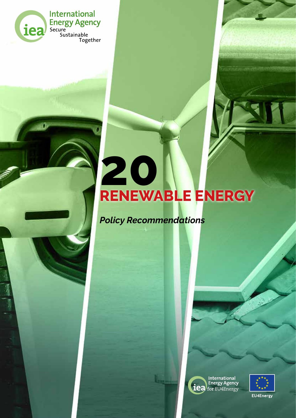

**International** Energy Agency<br>
Secure<br>
Sustainable<br>
Together

# **20 RENEWABLE ENERGY**

*Policy Recommendations*



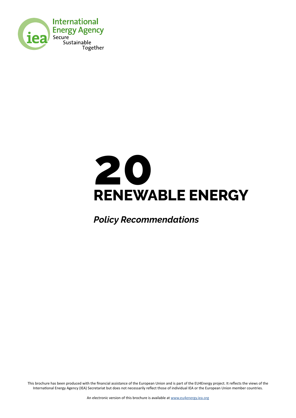



*Policy Recommendations*

This brochure has been produced with the financial assistance of the European Union and is part of the EU4Energy project. It reflects the views of the International Energy Agency (IEA) Secretariat but does not necessarily reflect those of individual IEA or the European Union member countries.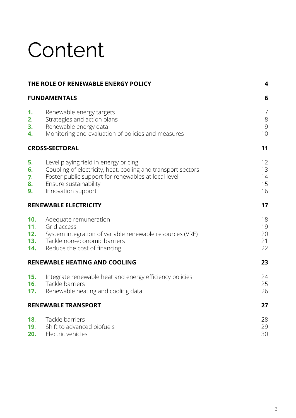## Content

|                                             | THE ROLE OF RENEWABLE ENERGY POLICY                                                                                                                                                                         | 4                              |
|---------------------------------------------|-------------------------------------------------------------------------------------------------------------------------------------------------------------------------------------------------------------|--------------------------------|
| <b>FUNDAMENTALS</b>                         |                                                                                                                                                                                                             | 6                              |
| 1.<br>2.<br>3.<br>4.                        | Renewable energy targets<br>Strategies and action plans<br>Renewable energy data<br>Monitoring and evaluation of policies and measures                                                                      | $\overline{7}$<br>8<br>9<br>10 |
|                                             | <b>CROSS-SECTORAL</b>                                                                                                                                                                                       | 11                             |
| 5.<br>6.<br>7.<br>8.<br>9.                  | Level playing field in energy pricing<br>Coupling of electricity, heat, cooling and transport sectors<br>Foster public support for renewables at local level<br>Ensure sustainability<br>Innovation support | 12<br>13<br>14<br>15<br>16     |
|                                             | <b>RENEWABLE ELECTRICITY</b>                                                                                                                                                                                | 17                             |
| 10.<br>11 <sub>1</sub><br>12.<br>13.<br>14. | Adequate remuneration<br>Grid access<br>System integration of variable renewable resources (VRE)<br>Tackle non-economic barriers<br>Reduce the cost of financing                                            | 18<br>19<br>20<br>21<br>22     |
|                                             | <b>RENEWABLE HEATING AND COOLING</b>                                                                                                                                                                        | 23                             |
| 15.<br>16.<br>17.                           | Integrate renewable heat and energy efficiency policies<br>Tackle barriers<br>Renewable heating and cooling data                                                                                            | 24<br>25<br>26                 |
|                                             | <b>RENEWABLE TRANSPORT</b>                                                                                                                                                                                  | 27                             |
| 18.<br>19.<br>20.                           | Tackle barriers<br>Shift to advanced biofuels<br>Electric vehicles                                                                                                                                          | 28<br>29<br>30                 |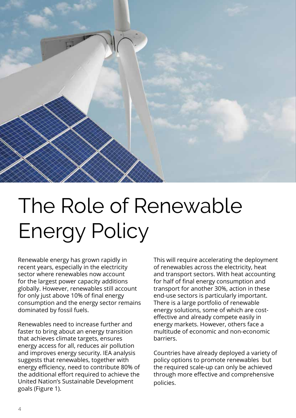

## The Role of Renewable Energy Policy

Renewable energy has grown rapidly in recent years, especially in the electricity sector where renewables now account for the largest power capacity additions globally. However, renewables still account for only just above 10% of final energy consumption and the energy sector remains dominated by fossil fuels.

Renewables need to increase further and faster to bring about an energy transition that achieves climate targets, ensures energy access for all, reduces air pollution and improves energy security. IEA analysis suggests that renewables, together with energy efficiency, need to contribute 80% of the additional effort required to achieve the United Nation's Sustainable Development goals (Figure 1).

This will require accelerating the deployment of renewables across the electricity, heat and transport sectors. With heat accounting for half of final energy consumption and transport for another 30%, action in these end-use sectors is particularly important. There is a large portfolio of renewable energy solutions, some of which are costeffective and already compete easily in energy markets. However, others face a multitude of economic and non-economic barriers.

Countries have already deployed a variety of policy options to promote renewables but the required scale-up can only be achieved through more effective and comprehensive policies.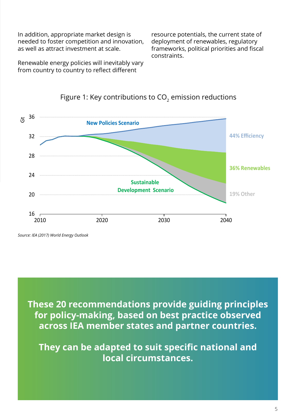In addition, appropriate market design is needed to foster competition and innovation, as well as attract investment at scale.

Renewable energy policies will inevitably vary from country to country to reflect different

resource potentials, the current state of deployment of renewables, regulatory frameworks, political priorities and fiscal constraints.



### Figure 1: Key contributions to  $CO<sub>2</sub>$  emission reductions

*Source: IEA (2017) World Energy Outlook*

**These 20 recommendations provide guiding principles for policy-making, based on best practice observed across IEA member states and partner countries.** 

**They can be adapted to suit specific national and local circumstances.**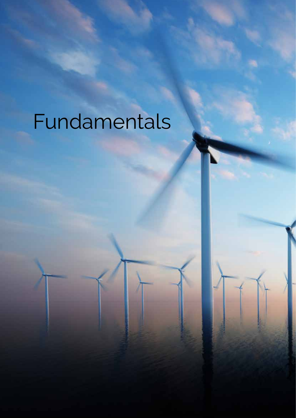# Fundamentals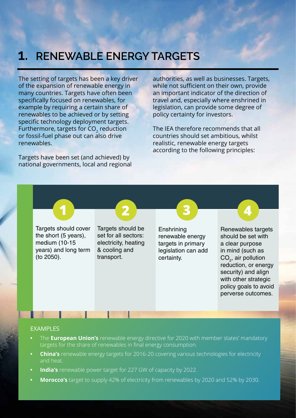### **1. RENEWABLE ENERGY TARGETS**

The setting of targets has been a key driver of the expansion of renewable energy in many countries. Targets have often been specifically focused on renewables, for example by requiring a certain share of renewables to be achieved or by setting specific technology deployment targets. Furthermore, targets for CO<sub>2</sub> reduction or fossil-fuel phase out can also drive renewables.

Targets have been set (and achieved) by national governments, local and regional authorities, as well as businesses. Targets, while not sufficient on their own, provide an important indicator of the direction of travel and, especially where enshrined in legislation, can provide some degree of policy certainty for investors.

The IEA therefore recommends that all countries should set ambitious, whilst realistic, renewable energy targets according to the following principles:

Targets should cover the short (5 years), medium (10-15 years) and long term (to 2050).



Targets should be set for all sectors: electricity, heating & cooling and transport.

**Enshrining** renewable energy targets in primary legislation can add certainty.

Renewables targets should be set with a clear purpose in mind (such as  $CO<sub>2</sub>$ , air pollution reduction, or energy security) and align with other strategic policy goals to avoid perverse outcomes.

#### EXAMPLES

- The **European Union's** renewable energy directive for 2020 with member states' mandatory targets for the share of renewables in final energy consumption.
- **China's** renewable energy targets for 2016-20 covering various technologies for electricity and heat.
- **India's** renewable power target for 227 GW of capacity by 2022.
- **Morocco's** target to supply 42% of electricity from renewables by 2020 and 52% by 2030.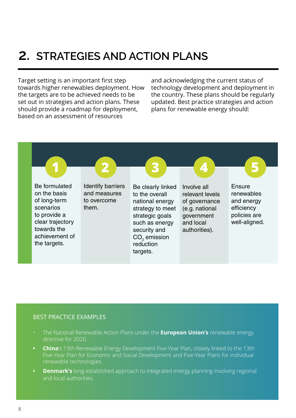### **2. STRATEGIES AND ACTION PLANS**

Target setting is an important first step towards higher renewables deployment. How the targets are to be achieved needs to be set out in strategies and action plans. These should provide a roadmap for deployment, based on an assessment of resources

and acknowledging the current status of technology development and deployment in the country. These plans should be regularly updated. Best practice strategies and action plans for renewable energy should:



- The National Renewable Action Plans under the **European Union's** renewable energy directive for 2020.
- **• China**'s 13th Renewable Energy Development Five-Year Plan, closely linked to the 13th Five-Year Plan for Economic and Social Development and Five-Year Plans for individual renewable technologies.
- **• Denmark's** long-established approach to integrated energy planning involving regional and local authorities.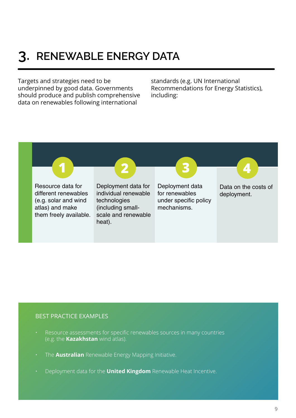### **3. RENEWABLE ENERGY DATA**

Targets and strategies need to be underpinned by good data. Governments should produce and publish comprehensive data on renewables following international

standards (e.g. UN International Recommendations for Energy Statistics), including:



- Resource assessments for specific renewables sources in many countries (e.g. the **Kazakhstan** wind atlas).
- The **Australian** Renewable Energy Mapping Initiative.
- Deployment data for the **United Kingdom** Renewable Heat Incentive.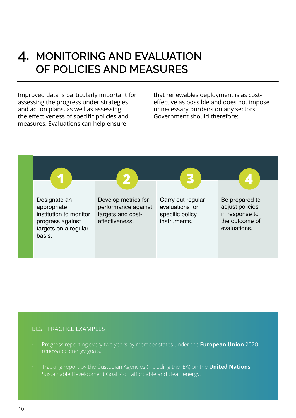### **4. MONITORING AND EVALUATION OF POLICIES AND MEASURES**

Improved data is particularly important for assessing the progress under strategies and action plans, as well as assessing the effectiveness of specific policies and measures. Evaluations can help ensure

that renewables deployment is as costeffective as possible and does not impose unnecessary burdens on any sectors. Government should therefore:



- Progress reporting every two years by member states under the **European Union** 2020 renewable energy goals.
- Tracking report by the Custodian Agencies (including the IEA) on the **United Nations**  Sustainable Development Goal 7 on affordable and clean energy.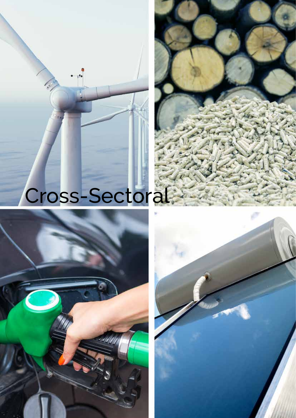# Cross-Sectoral



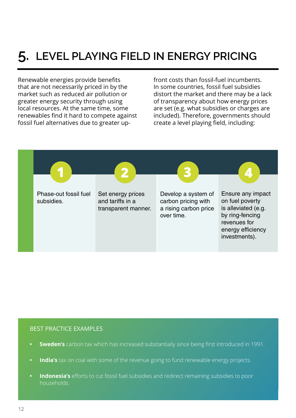### **5. LEVEL PLAYING FIELD IN ENERGY PRICING**

Renewable energies provide benefits that are not necessarily priced in by the market such as reduced air pollution or greater energy security through using local resources. At the same time, some renewables find it hard to compete against fossil fuel alternatives due to greater upfront costs than fossil-fuel incumbents. In some countries, fossil fuel subsidies distort the market and there may be a lack of transparency about how energy prices are set (e.g. what subsidies or charges are included). Therefore, governments should create a level playing field, including:



- **• Sweden's** carbon tax which has increased substantially since being first introduced in 1991.
- **• India's** tax on coal with some of the revenue going to fund renewable energy projects.
- **• Indonesia's** efforts to cut fossil fuel subsidies and redirect remaining subsidies to poor households.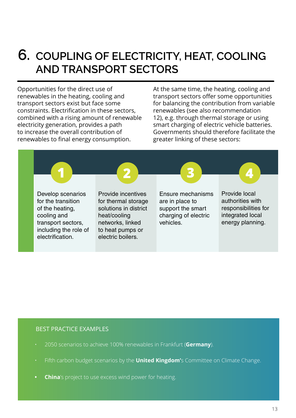### **6. COUPLING OF ELECTRICITY, HEAT, COOLING AND TRANSPORT SECTORS**

Opportunities for the direct use of renewables in the heating, cooling and transport sectors exist but face some constraints. Electrification in these sectors, combined with a rising amount of renewable electricity generation, provides a path to increase the overall contribution of renewables to final energy consumption.

At the same time, the heating, cooling and transport sectors offer some opportunities for balancing the contribution from variable renewables (see also recommendation 12), e.g. through thermal storage or using smart charging of electric vehicle batteries. Governments should therefore facilitate the greater linking of these sectors:



- 2050 scenarios to achieve 100% renewables in Frankfurt (**Germany**).
- Fifth carbon budget scenarios by the **United Kingdom'**s Committee on Climate Change.
- **• China**'s project to use excess wind power for heating.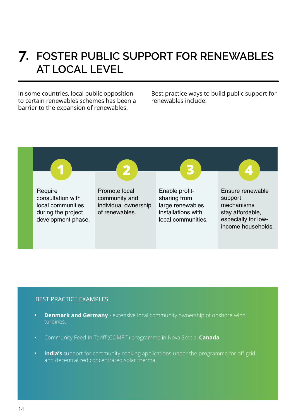### **7. FOSTER PUBLIC SUPPORT FOR RENEWABLES AT LOCAL LEVEL**

In some countries, local public opposition to certain renewables schemes has been a barrier to the expansion of renewables.

Best practice ways to build public support for renewables include:



- **• Denmark and Germany** extensive local community ownership of onshore wind turbines.
- Community Feed-In Tariff (COMFIT) programme in Nova Scotia, **Canada**.
- **• India's** support for community cooking applications under the programme for off-grid and decentralized concentrated solar thermal.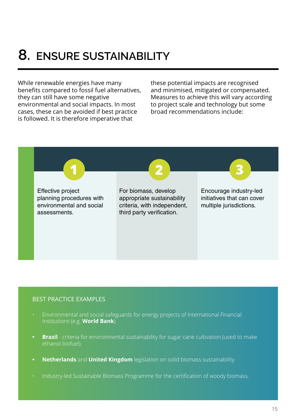### **8. ENSURE SUSTAINABILITY**

While renewable energies have many benefits compared to fossil fuel alternatives, they can still have some negative environmental and social impacts. In most cases, these can be avoided if best practice is followed. It is therefore imperative that

these potential impacts are recognised and minimised, mitigated or compensated. Measures to achieve this will vary according to project scale and technology but some broad recommendations include:



- Environmental and social safeguards for energy projects of International Financial Institutions (e.g. **World Bank**).
- **Brazil** criteria for environmental sustainability for sugar cane cultivation (used to make ethanol biofuel).
- **• Netherlands** and **United Kingdom** legislation on solid biomass sustainability.
- Industry-led Sustainable Biomass Programme for the certification of woody biomass.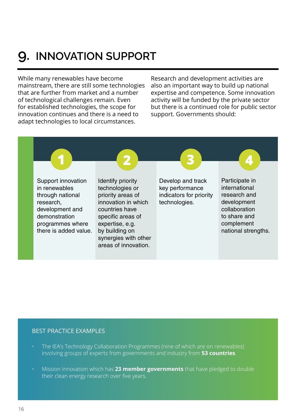### **9. INNOVATION SUPPORT**

While many renewables have become mainstream, there are still some technologies that are further from market and a number of technological challenges remain. Even for established technologies, the scope for innovation continues and there is a need to adapt technologies to local circumstances.

Research and development activities are also an important way to build up national expertise and competence. Some innovation activity will be funded by the private sector but there is a continued role for public sector support. Governments should:



- The IEA's Technology Collaboration Programmes (nine of which are on renewables) involving groups of experts from governments and industry from **53 countries**.
- Mission Innovation which has **23 member governments** that have pledged to double their clean energy research over five years.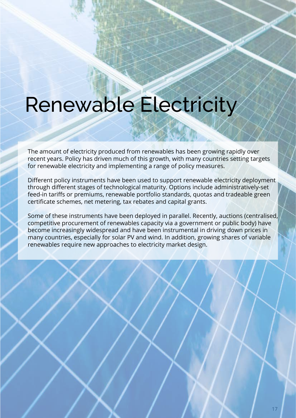## Renewable Electricity

The amount of electricity produced from renewables has been growing rapidly over recent years. Policy has driven much of this growth, with many countries setting targets for renewable electricity and implementing a range of policy measures.

Different policy instruments have been used to support renewable electricity deployment through different stages of technological maturity. Options include administratively-set feed-in tariffs or premiums, renewable portfolio standards, quotas and tradeable green certificate schemes, net metering, tax rebates and capital grants.

Some of these instruments have been deployed in parallel. Recently, auctions (centralised, competitive procurement of renewables capacity via a government or public body) have become increasingly widespread and have been instrumental in driving down prices in many countries, especially for solar PV and wind. In addition, growing shares of variable renewables require new approaches to electricity market design.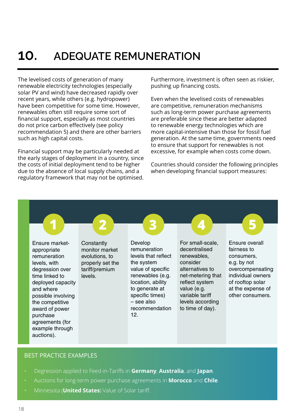### **10. ADEQUATE REMUNERATION**

The levelised costs of generation of many renewable electricity technologies (especially solar PV and wind) have decreased rapidly over recent years, while others (e.g. hydropower) have been competitive for some time. However, renewables often still require some sort of financial support, especially as most countries do not price carbon effectively (see policy recommendation 5) and there are other barriers such as high capital costs.

Financial support may be particularly needed at the early stages of deployment in a country, since the costs of initial deployment tend to be higher due to the absence of local supply chains, and a regulatory framework that may not be optimised.

Furthermore, investment is often seen as riskier, pushing up financing costs.

Even when the levelised costs of renewables are competitive, remuneration mechanisms such as long-term power purchase agreements are preferable since these are better adapted to renewable energy technologies which are more capital-intensive than those for fossil fuel generation. At the same time, governments need to ensure that support for renewables is not excessive, for example when costs come down.

Countries should consider the following principles when developing financial support measures:

**Constantly** monitor market evolutions, to properly set the tariff/premium levels. Ensure marketappropriate remuneration levels, with degression over time linked to deployed capacity and where possible involving the competitive award of power purchase agreements (for example through auctions). Develop remuneration levels that reflect the system value of specific renewables (e.g. location, ability to generate at specific times) – see also recommendation 12. For small-scale, decentralised renewables, consider alternatives to net-metering that reflect system value (e.g. variable tariff levels according to time of day). **1 2 3** Ensure overall fairness to consumers, e.g. by not overcompensating individual owners of rooftop solar at the expense of other consumers. **4 5**

- Degression applied to Feed-in-Tariffs in **Germany**, **Australia**, and **Japan**.
- Auctions for long-term power purchase agreements in **Morocco** and **Chile**.
- Minnesota (**United States**) Value of Solar tariff.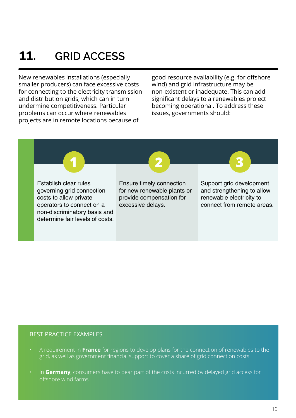### **11. GRID ACCESS**

New renewables installations (especially smaller producers) can face excessive costs for connecting to the electricity transmission and distribution grids, which can in turn undermine competitiveness. Particular problems can occur where renewables projects are in remote locations because of

good resource availability (e.g. for offshore wind) and grid infrastructure may be non-existent or inadequate. This can add significant delays to a renewables project becoming operational. To address these issues, governments should:



- A requirement in **France** for regions to develop plans for the connection of renewables to the grid, as well as government financial support to cover a share of grid connection costs.
- In **Germany**, consumers have to bear part of the costs incurred by delayed grid access for offshore wind farms.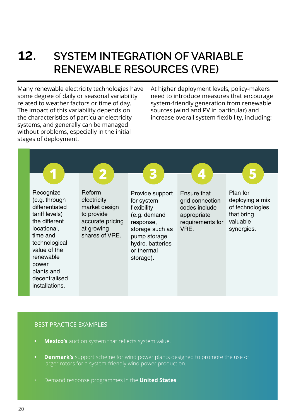### **12. SYSTEM INTEGRATION OF VARIABLE RENEWABLE RESOURCES (VRE)**

Many renewable electricity technologies have some degree of daily or seasonal variability related to weather factors or time of day. The impact of this variability depends on the characteristics of particular electricity systems, and generally can be managed without problems, especially in the initial stages of deployment.

At higher deployment levels, policy-makers need to introduce measures that encourage system-friendly generation from renewable sources (wind and PV in particular) and increase overall system flexibility, including:



- **• Mexico's** auction system that reflects system value.
- **• Denmark's** support scheme for wind power plants designed to promote the use of larger rotors for a system-friendly wind power production.
- Demand response programmes in the **United States**.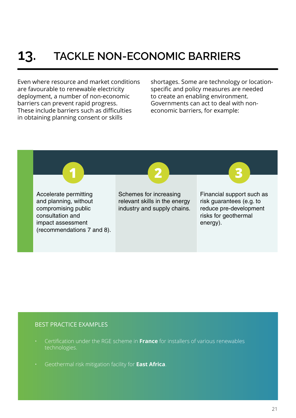### **13. TACKLE NON-ECONOMIC BARRIERS**

Even where resource and market conditions are favourable to renewable electricity deployment, a number of non-economic barriers can prevent rapid progress. These include barriers such as difficulties in obtaining planning consent or skills

shortages. Some are technology or locationspecific and policy measures are needed to create an enabling environment. Governments can act to deal with noneconomic barriers, for example:



- Certification under the RGE scheme in **France** for installers of various renewables technologies.
- Geothermal risk mitigation facility for **East Africa**.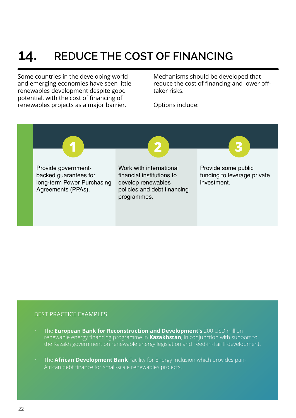### **14. REDUCE THE COST OF FINANCING**

Some countries in the developing world and emerging economies have seen little renewables development despite good potential, with the cost of financing of renewables projects as a major barrier.

Mechanisms should be developed that reduce the cost of financing and lower offtaker risks.

Options include:



- The **European Bank for Reconstruction and Development's** 200 USD million renewable energy financing programme in **Kazakhstan**, in conjunction with support to the Kazakh government on renewable energy legislation and Feed-in-Tariff development.
- The **African Development Bank** Facility for Energy Inclusion which provides pan-African debt finance for small-scale renewables projects.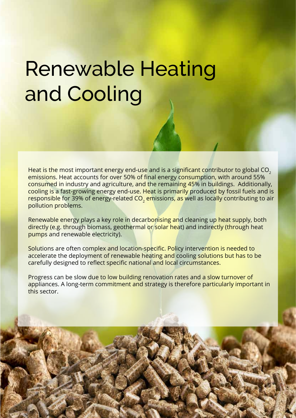## Renewable Heating and Cooling

Heat is the most important energy end-use and is a significant contributor to global CO<sub>2</sub> emissions. Heat accounts for over 50% of final energy consumption, with around 55% consumed in industry and agriculture, and the remaining 45% in buildings. Additionally, cooling is a fast-growing energy end-use. Heat is primarily produced by fossil fuels and is responsible for 39% of energy-related CO<sub>2</sub> emissions, as well as locally contributing to air pollution problems.

Renewable energy plays a key role in decarbonising and cleaning up heat supply, both directly (e.g. through biomass, geothermal or solar heat) and indirectly (through heat pumps and renewable electricity).

Solutions are often complex and location-specific. Policy intervention is needed to accelerate the deployment of renewable heating and cooling solutions but has to be carefully designed to reflect specific national and local circumstances.

Progress can be slow due to low building renovation rates and a slow turnover of appliances. A long-term commitment and strategy is therefore particularly important in this sector.

22 23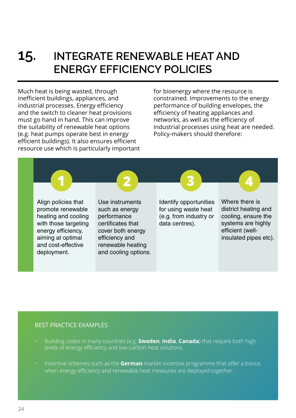### **15. INTEGRATE RENEWABLE HEAT AND ENERGY EFFICIENCY POLICIES**

Much heat is being wasted, through inefficient buildings, appliances, and industrial processes. Energy efficiency and the switch to cleaner heat provisions must go hand in hand. This can improve the suitability of renewable heat options (e.g. heat pumps operate best in energy efficient buildings). It also ensures efficient resource use which is particularly important for bioenergy where the resource is constrained. Improvements to the energy performance of building envelopes, the efficiency of heating appliances and networks, as well as the efficiency of industrial processes using heat are needed. Policy-makers should therefore:

Align policies that promote renewable heating and cooling with those targeting energy efficiency, aiming at optimal and cost-effective deployment.

Use instruments such as energy performance certificates that cover both energy efficiency and renewable heating and cooling options. Identify opportunities for using waste heat (e.g. from industry or data centres).

**1 2 3 4**

Where there is district heating and cooling, ensure the systems are highly efficient (wellinsulated pipes etc).

- Building codes in many countries (e.g. **Sweden**, **India**, **Canada**) that require both high levels of energy efficiency and low-carbon heat solutions.
- Incentive schemes such as the **German** market incentive programme that offer a bonus when energy efficiency and renewable heat measures are deployed together.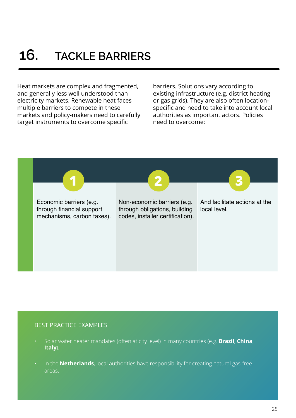Heat markets are complex and fragmented, and generally less well understood than electricity markets. Renewable heat faces multiple barriers to compete in these markets and policy-makers need to carefully target instruments to overcome specific

barriers. Solutions vary according to existing infrastructure (e.g. district heating or gas grids). They are also often locationspecific and need to take into account local authorities as important actors. Policies need to overcome:

Economic barriers (e.g. through financial support mechanisms, carbon taxes).

Non-economic barriers (e.g. through obligations, building codes, installer certification).

**1 2 3**

And facilitate actions at the local level.

- Solar water heater mandates (often at city level) in many countries (e.g. **Brazil**, **China**, **Italy**).
- In the **Netherlands**, local authorities have responsibility for creating natural gas-free areas.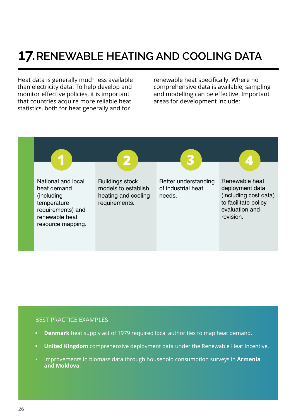### **17.RENEWABLE HEATING AND COOLING DATA**

Heat data is generally much less available than electricity data. To help develop and monitor effective policies, it is important that countries acquire more reliable heat statistics, both for heat generally and for

renewable heat specifically. Where no comprehensive data is available, sampling and modelling can be effective. Important areas for development include:



- **• Denmark** heat supply act of 1979 required local authorities to map heat demand.
- **• United Kingdom** comprehensive deployment data under the Renewable Heat Incentive.
- Improvements in biomass data through household consumption surveys in **Armenia and Moldova**.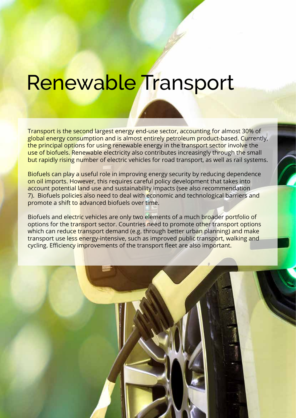## Renewable Transport

Transport is the second largest energy end-use sector, accounting for almost 30% of global energy consumption and is almost entirely petroleum product-based. Currently, the principal options for using renewable energy in the transport sector involve the use of biofuels. Renewable electricity also contributes increasingly through the small but rapidly rising number of electric vehicles for road transport, as well as rail systems.

Biofuels can play a useful role in improving energy security by reducing dependence on oil imports. However, this requires careful policy development that takes into account potential land use and sustainability impacts (see also recommendation 7). Biofuels policies also need to deal with economic and technological barriers and promote a shift to advanced biofuels over time.

Biofuels and electric vehicles are only two elements of a much broader portfolio of options for the transport sector. Countries need to promote other transport options which can reduce transport demand (e.g. through better urban planning) and make transport use less energy-intensive, such as improved public transport, walking and cycling. Efficiency improvements of the transport fleet are also important.

26 27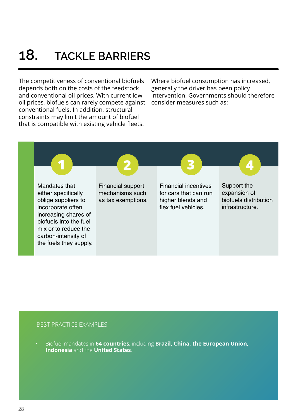### **18. TACKLE BARRIERS**

The competitiveness of conventional biofuels depends both on the costs of the feedstock and conventional oil prices. With current low oil prices, biofuels can rarely compete against conventional fuels. In addition, structural constraints may limit the amount of biofuel that is compatible with existing vehicle fleets.

Where biofuel consumption has increased, generally the driver has been policy intervention. Governments should therefore consider measures such as:



### BEST PRACTICE EXAMPLES

• Biofuel mandates in **64 countries**, including **Brazil, China, the European Union, Indonesia** and the **United States**.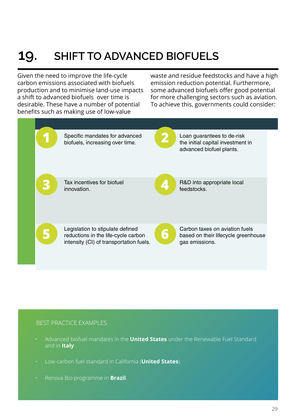### **19. SHIFT TO ADVANCED BIOFUELS**

Given the need to improve the life-cycle carbon emissions associated with biofuels production and to minimise land-use impacts a shift to advanced biofuels over time is desirable. These have a number of potential benefits such as making use of low-value

waste and residue feedstocks and have a high emission reduction potential. Furthermore, some advanced biofuels offer good potential for more challenging sectors such as aviation. To achieve this, governments could consider:



- Advanced biofuel mandates in the **United States** under the Renewable Fuel Standard and in **Italy**.
- Low-carbon fuel standard in California (**United States**).
- Renova Bio programme in **Brazil**.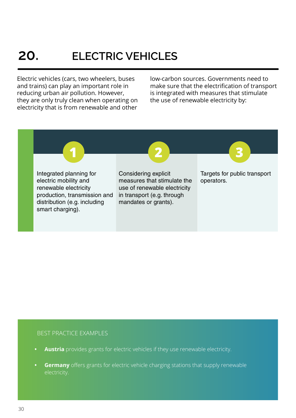### **20. ELECTRIC VEHICLES**

Electric vehicles (cars, two wheelers, buses and trains) can play an important role in reducing urban air pollution. However, they are only truly clean when operating on electricity that is from renewable and other

low-carbon sources. Governments need to make sure that the electrification of transport is integrated with measures that stimulate the use of renewable electricity by:



- **• Austria** provides grants for electric vehicles if they use renewable electricity.
- **Germany** offers grants for electric vehicle charging stations that supply renewable electricity.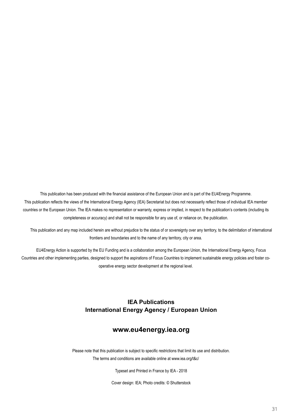This publication has been produced with the financial assistance of the European Union and is part of the EU4Energy Programme. This publication reflects the views of the International Energy Agency (IEA) Secretariat but does not necessarily reflect those of individual IEA member countries or the European Union. The IEA makes no representation or warranty, express or implied, in respect to the publication's contents (including its completeness or accuracy) and shall not be responsible for any use of, or reliance on, the publication.

This publication and any map included herein are without prejudice to the status of or sovereignty over any territory, to the delimitation of international frontiers and boundaries and to the name of any territory, city or area.

EU4Energy Action is supported by the EU Funding and is a collaboration among the European Union, the International Energy Agency, Focus Countries and other implementing parties, designed to support the aspirations of Focus Countries to implement sustainable energy policies and foster cooperative energy sector development at the regional level.

### **IEA Publications International Energy Agency / European Union**

#### **www.eu4energy.iea.org**

Please note that this publication is subject to specific restrictions that limit its use and distribution.

The terms and conditions are available online at www.iea.org/t&c/

Typeset and Printed in France by IEA - 2018

Cover design: IEA; Photo credits: © Shutterstock